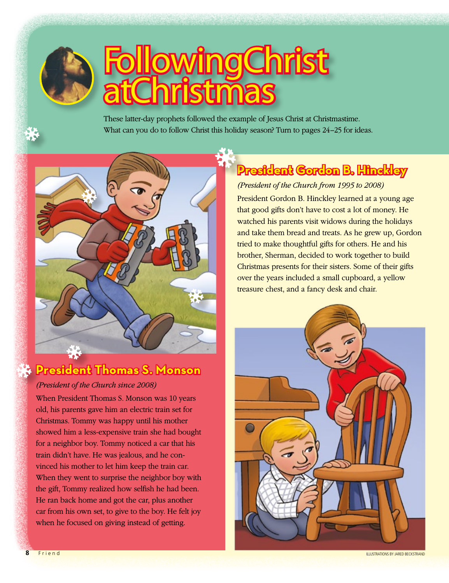

# **Following Christ** at Christmas

These latter-day prophets followed the example of Jesus Christ at Christmastime. What can you do to follow Christ this holiday season? Turn to pages 24–25 for ideas.



## **President Thomas S. Monson**

#### *(President of the Church since 2008)*

When President Thomas S. Monson was 10 years old, his parents gave him an electric train set for Christmas. Tommy was happy until his mother showed him a less-expensive train she had bought for a neighbor boy. Tommy noticed a car that his train didn't have. He was jealous, and he convinced his mother to let him keep the train car. When they went to surprise the neighbor boy with the gift, Tommy realized how selfish he had been. He ran back home and got the car, plus another car from his own set, to give to the boy. He felt joy when he focused on giving instead of getting.

# **President Gordon B. Hinckley**

#### *(President of the Church from 1995 to 2008)*

President Gordon B. Hinckley learned at a young age that good gifts don't have to cost a lot of money. He watched his parents visit widows during the holidays and take them bread and treats. As he grew up, Gordon tried to make thoughtful gifts for others. He and his brother, Sherman, decided to work together to build Christmas presents for their sisters. Some of their gifts over the years included a small cupboard, a yellow treasure chest, and a fancy desk and chair.



**8 B** Friend **ILLUSTRATIONS BY JARED BECKSTRAND**